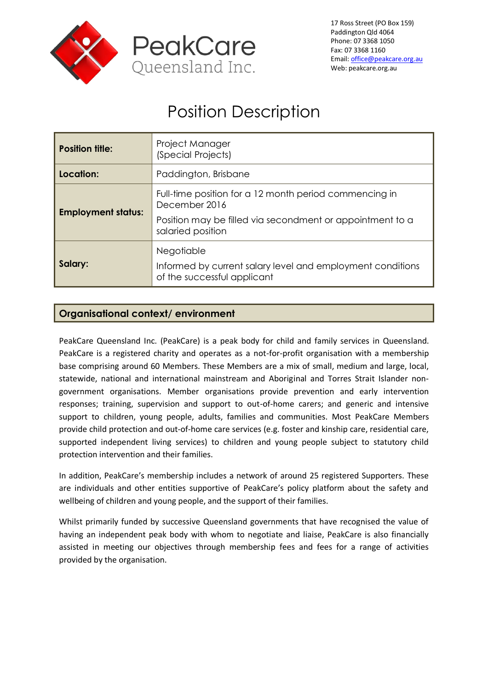

# Position Description

| <b>Position title:</b>    | Project Manager<br>(Special Projects)                                                                                                                     |
|---------------------------|-----------------------------------------------------------------------------------------------------------------------------------------------------------|
| Location:                 | Paddington, Brisbane                                                                                                                                      |
| <b>Employment status:</b> | Full-time position for a 12 month period commencing in<br>December 2016<br>Position may be filled via secondment or appointment to a<br>salaried position |
| Salary:                   | <b>Negotiable</b><br>Informed by current salary level and employment conditions<br>of the successful applicant                                            |

## **Organisational context/ environment**

PeakCare Queensland Inc. (PeakCare) is a peak body for child and family services in Queensland. PeakCare is a registered charity and operates as a not-for-profit organisation with a membership base comprising around 60 Members. These Members are a mix of small, medium and large, local, statewide, national and international mainstream and Aboriginal and Torres Strait Islander nongovernment organisations. Member organisations provide prevention and early intervention responses; training, supervision and support to out-of-home carers; and generic and intensive support to children, young people, adults, families and communities. Most PeakCare Members provide child protection and out-of-home care services (e.g. foster and kinship care, residential care, supported independent living services) to children and young people subject to statutory child protection intervention and their families.

In addition, PeakCare's membership includes a network of around 25 registered Supporters. These are individuals and other entities supportive of PeakCare's policy platform about the safety and wellbeing of children and young people, and the support of their families.

Whilst primarily funded by successive Queensland governments that have recognised the value of having an independent peak body with whom to negotiate and liaise, PeakCare is also financially assisted in meeting our objectives through membership fees and fees for a range of activities provided by the organisation.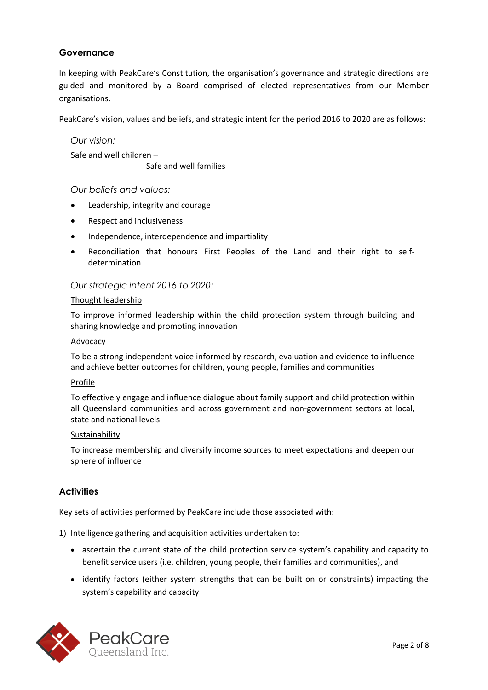## **Governance**

In keeping with PeakCare's Constitution, the organisation's governance and strategic directions are guided and monitored by a Board comprised of elected representatives from our Member organisations.

PeakCare's vision, values and beliefs, and strategic intent for the period 2016 to 2020 are as follows:

*Our vision:* Safe and well children –

Safe and well families

*Our beliefs and values:*

- Leadership, integrity and courage
- Respect and inclusiveness
- Independence, interdependence and impartiality
- Reconciliation that honours First Peoples of the Land and their right to selfdetermination

#### *Our strategic intent 2016 to 2020:*

#### Thought leadership

To improve informed leadership within the child protection system through building and sharing knowledge and promoting innovation

#### Advocacy

To be a strong independent voice informed by research, evaluation and evidence to influence and achieve better outcomes for children, young people, families and communities

#### Profile

To effectively engage and influence dialogue about family support and child protection within all Queensland communities and across government and non-government sectors at local, state and national levels

#### Sustainability

To increase membership and diversify income sources to meet expectations and deepen our sphere of influence

#### **Activities**

Key sets of activities performed by PeakCare include those associated with:

1) Intelligence gathering and acquisition activities undertaken to:

- ascertain the current state of the child protection service system's capability and capacity to benefit service users (i.e. children, young people, their families and communities), and
- identify factors (either system strengths that can be built on or constraints) impacting the system's capability and capacity

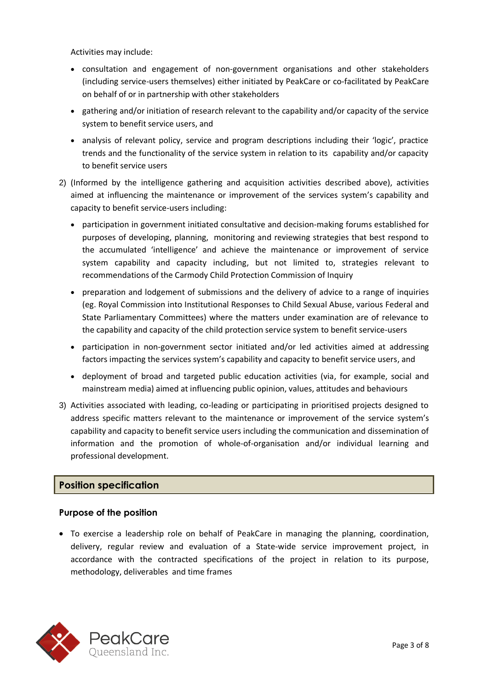Activities may include:

- consultation and engagement of non-government organisations and other stakeholders (including service-users themselves) either initiated by PeakCare or co-facilitated by PeakCare on behalf of or in partnership with other stakeholders
- gathering and/or initiation of research relevant to the capability and/or capacity of the service system to benefit service users, and
- analysis of relevant policy, service and program descriptions including their 'logic', practice trends and the functionality of the service system in relation to its capability and/or capacity to benefit service users
- 2) (Informed by the intelligence gathering and acquisition activities described above), activities aimed at influencing the maintenance or improvement of the services system's capability and capacity to benefit service-users including:
	- participation in government initiated consultative and decision-making forums established for purposes of developing, planning, monitoring and reviewing strategies that best respond to the accumulated 'intelligence' and achieve the maintenance or improvement of service system capability and capacity including, but not limited to, strategies relevant to recommendations of the Carmody Child Protection Commission of Inquiry
	- preparation and lodgement of submissions and the delivery of advice to a range of inquiries (eg. Royal Commission into Institutional Responses to Child Sexual Abuse, various Federal and State Parliamentary Committees) where the matters under examination are of relevance to the capability and capacity of the child protection service system to benefit service-users
	- participation in non-government sector initiated and/or led activities aimed at addressing factors impacting the services system's capability and capacity to benefit service users, and
	- deployment of broad and targeted public education activities (via, for example, social and mainstream media) aimed at influencing public opinion, values, attitudes and behaviours
- 3) Activities associated with leading, co-leading or participating in prioritised projects designed to address specific matters relevant to the maintenance or improvement of the service system's capability and capacity to benefit service users including the communication and dissemination of information and the promotion of whole-of-organisation and/or individual learning and professional development.

# **Position specification**

## **Purpose of the position**

 To exercise a leadership role on behalf of PeakCare in managing the planning, coordination, delivery, regular review and evaluation of a State-wide service improvement project, in accordance with the contracted specifications of the project in relation to its purpose, methodology, deliverables and time frames

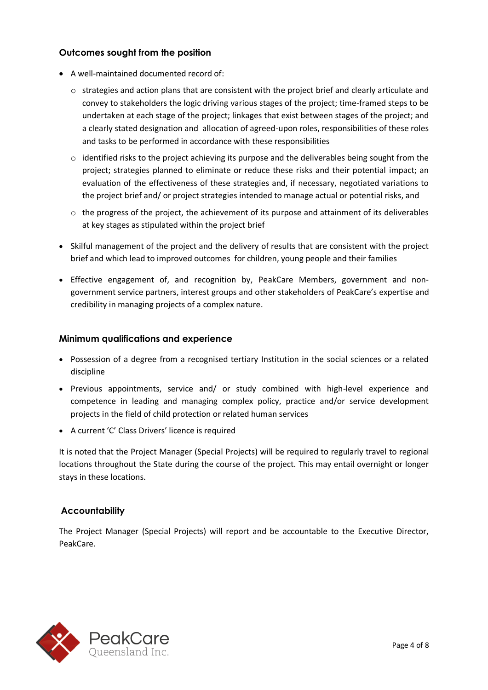## **Outcomes sought from the position**

- A well-maintained documented record of:
	- $\circ$  strategies and action plans that are consistent with the project brief and clearly articulate and convey to stakeholders the logic driving various stages of the project; time-framed steps to be undertaken at each stage of the project; linkages that exist between stages of the project; and a clearly stated designation and allocation of agreed-upon roles, responsibilities of these roles and tasks to be performed in accordance with these responsibilities
	- $\circ$  identified risks to the project achieving its purpose and the deliverables being sought from the project; strategies planned to eliminate or reduce these risks and their potential impact; an evaluation of the effectiveness of these strategies and, if necessary, negotiated variations to the project brief and/ or project strategies intended to manage actual or potential risks, and
	- $\circ$  the progress of the project, the achievement of its purpose and attainment of its deliverables at key stages as stipulated within the project brief
- Skilful management of the project and the delivery of results that are consistent with the project brief and which lead to improved outcomes for children, young people and their families
- Effective engagement of, and recognition by, PeakCare Members, government and nongovernment service partners, interest groups and other stakeholders of PeakCare's expertise and credibility in managing projects of a complex nature.

#### **Minimum qualifications and experience**

- Possession of a degree from a recognised tertiary Institution in the social sciences or a related discipline
- Previous appointments, service and/ or study combined with high-level experience and competence in leading and managing complex policy, practice and/or service development projects in the field of child protection or related human services
- A current 'C' Class Drivers' licence is required

It is noted that the Project Manager (Special Projects) will be required to regularly travel to regional locations throughout the State during the course of the project. This may entail overnight or longer stays in these locations.

## **Accountability**

The Project Manager (Special Projects) will report and be accountable to the Executive Director, PeakCare.

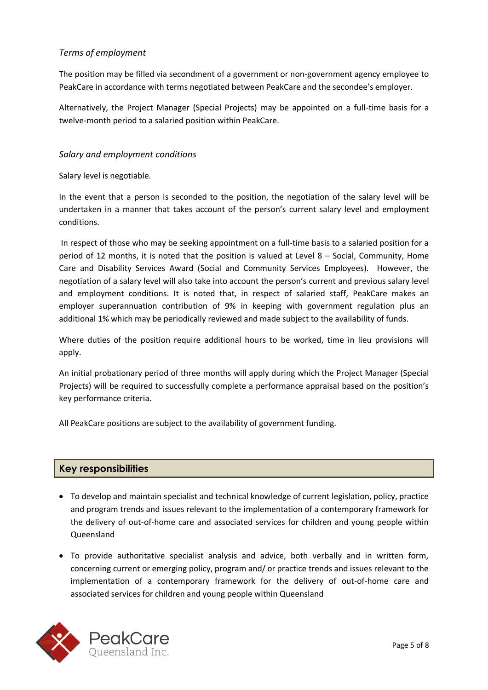## *Terms of employment*

The position may be filled via secondment of a government or non-government agency employee to PeakCare in accordance with terms negotiated between PeakCare and the secondee's employer.

Alternatively, the Project Manager (Special Projects) may be appointed on a full-time basis for a twelve-month period to a salaried position within PeakCare.

## *Salary and employment conditions*

Salary level is negotiable.

In the event that a person is seconded to the position, the negotiation of the salary level will be undertaken in a manner that takes account of the person's current salary level and employment conditions.

In respect of those who may be seeking appointment on a full-time basis to a salaried position for a period of 12 months, it is noted that the position is valued at Level 8 – Social, Community, Home Care and Disability Services Award (Social and Community Services Employees). However, the negotiation of a salary level will also take into account the person's current and previous salary level and employment conditions. It is noted that, in respect of salaried staff, PeakCare makes an employer superannuation contribution of 9% in keeping with government regulation plus an additional 1% which may be periodically reviewed and made subject to the availability of funds.

Where duties of the position require additional hours to be worked, time in lieu provisions will apply.

An initial probationary period of three months will apply during which the Project Manager (Special Projects) will be required to successfully complete a performance appraisal based on the position's key performance criteria.

All PeakCare positions are subject to the availability of government funding.

## **Key responsibilities**

- To develop and maintain specialist and technical knowledge of current legislation, policy, practice and program trends and issues relevant to the implementation of a contemporary framework for the delivery of out-of-home care and associated services for children and young people within Queensland
- To provide authoritative specialist analysis and advice, both verbally and in written form, concerning current or emerging policy, program and/ or practice trends and issues relevant to the implementation of a contemporary framework for the delivery of out-of-home care and associated services for children and young people within Queensland

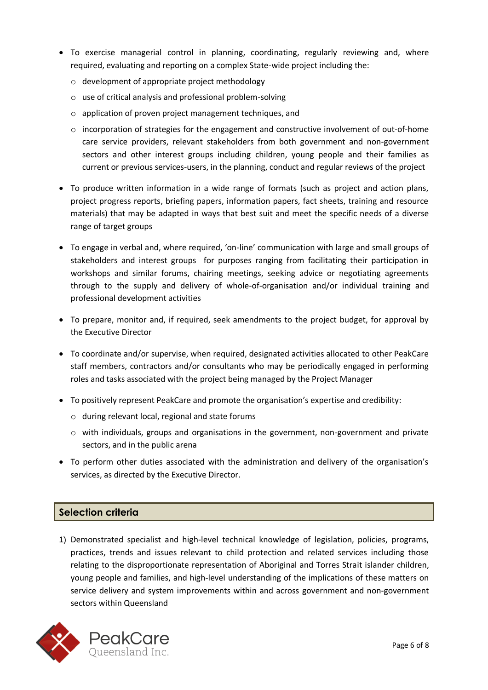- To exercise managerial control in planning, coordinating, regularly reviewing and, where required, evaluating and reporting on a complex State-wide project including the:
	- o development of appropriate project methodology
	- o use of critical analysis and professional problem-solving
	- o application of proven project management techniques, and
	- $\circ$  incorporation of strategies for the engagement and constructive involvement of out-of-home care service providers, relevant stakeholders from both government and non-government sectors and other interest groups including children, young people and their families as current or previous services-users, in the planning, conduct and regular reviews of the project
- To produce written information in a wide range of formats (such as project and action plans, project progress reports, briefing papers, information papers, fact sheets, training and resource materials) that may be adapted in ways that best suit and meet the specific needs of a diverse range of target groups
- To engage in verbal and, where required, 'on-line' communication with large and small groups of stakeholders and interest groups for purposes ranging from facilitating their participation in workshops and similar forums, chairing meetings, seeking advice or negotiating agreements through to the supply and delivery of whole-of-organisation and/or individual training and professional development activities
- To prepare, monitor and, if required, seek amendments to the project budget, for approval by the Executive Director
- To coordinate and/or supervise, when required, designated activities allocated to other PeakCare staff members, contractors and/or consultants who may be periodically engaged in performing roles and tasks associated with the project being managed by the Project Manager
- To positively represent PeakCare and promote the organisation's expertise and credibility:
	- o during relevant local, regional and state forums
	- $\circ$  with individuals, groups and organisations in the government, non-government and private sectors, and in the public arena
- To perform other duties associated with the administration and delivery of the organisation's services, as directed by the Executive Director.

## **Selection criteria**

1) Demonstrated specialist and high-level technical knowledge of legislation, policies, programs, practices, trends and issues relevant to child protection and related services including those relating to the disproportionate representation of Aboriginal and Torres Strait islander children, young people and families, and high-level understanding of the implications of these matters on service delivery and system improvements within and across government and non-government sectors within Queensland

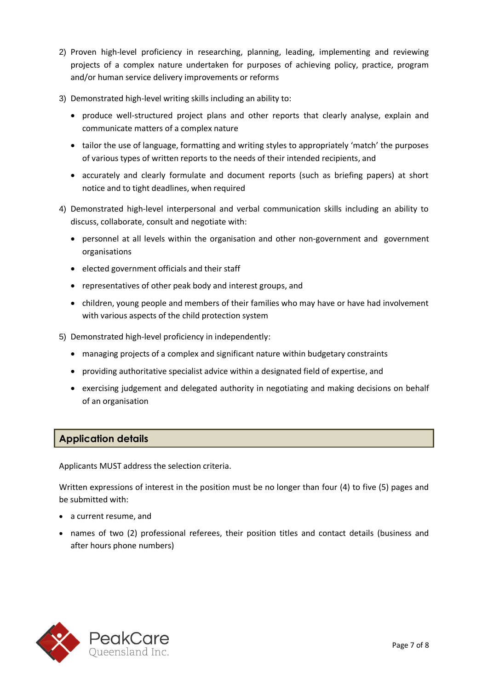- 2) Proven high-level proficiency in researching, planning, leading, implementing and reviewing projects of a complex nature undertaken for purposes of achieving policy, practice, program and/or human service delivery improvements or reforms
- 3) Demonstrated high-level writing skills including an ability to:
	- produce well-structured project plans and other reports that clearly analyse, explain and communicate matters of a complex nature
	- tailor the use of language, formatting and writing styles to appropriately 'match' the purposes of various types of written reports to the needs of their intended recipients, and
	- accurately and clearly formulate and document reports (such as briefing papers) at short notice and to tight deadlines, when required
- 4) Demonstrated high-level interpersonal and verbal communication skills including an ability to discuss, collaborate, consult and negotiate with:
	- personnel at all levels within the organisation and other non-government and government organisations
	- elected government officials and their staff
	- representatives of other peak body and interest groups, and
	- children, young people and members of their families who may have or have had involvement with various aspects of the child protection system
- 5) Demonstrated high-level proficiency in independently:
	- managing projects of a complex and significant nature within budgetary constraints
	- providing authoritative specialist advice within a designated field of expertise, and
	- exercising judgement and delegated authority in negotiating and making decisions on behalf of an organisation

## **Application details**

Applicants MUST address the selection criteria.

Written expressions of interest in the position must be no longer than four (4) to five (5) pages and be submitted with:

- a current resume, and
- names of two (2) professional referees, their position titles and contact details (business and after hours phone numbers)